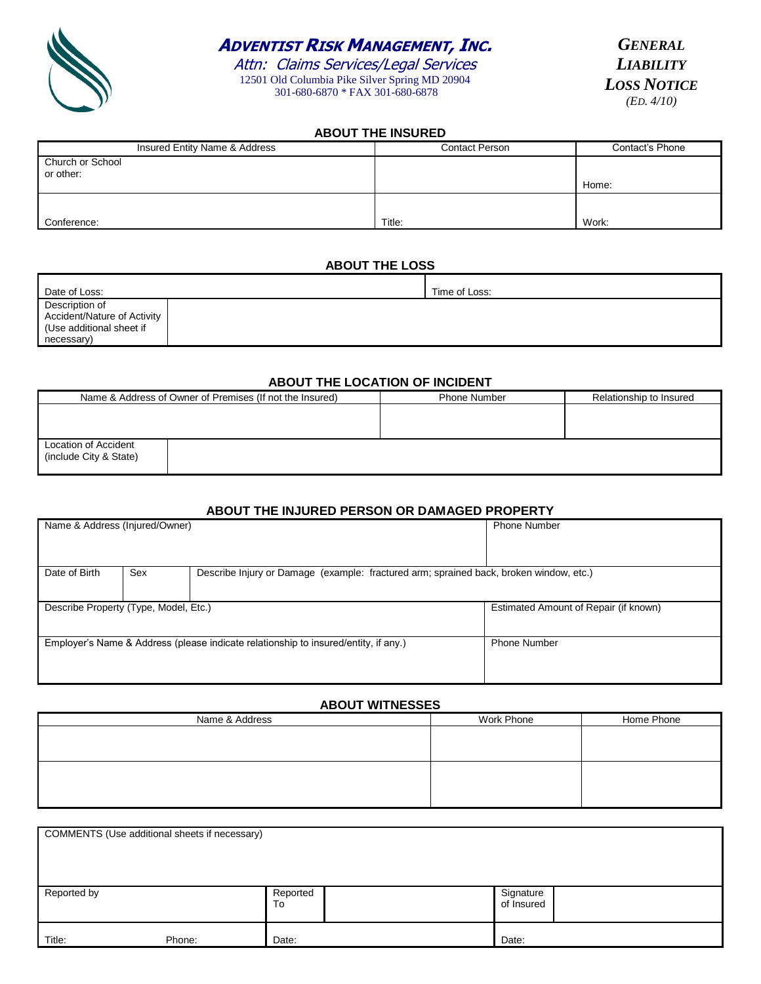

## **ADVENTIST RISK MANAGEMENT, INC.**

Attn: Claims Services/Legal Services 12501 Old Columbia Pike Silver Spring MD 20904 301-680-6870 \* FAX 301-680-6878

*GENERAL LIABILITY LOSS NOTICE (ED. 4/10)*

#### **ABOUT THE INSURED**

| Insured Entity Name & Address | Contact Person | Contact's Phone |
|-------------------------------|----------------|-----------------|
| Church or School<br>or other: |                |                 |
|                               |                | Home:           |
|                               |                |                 |
| Conference:                   | Title:         | Work:           |

#### **ABOUT THE LOSS**

| Date of Loss:                                                                           | Time of Loss: |
|-----------------------------------------------------------------------------------------|---------------|
| Description of<br>Accident/Nature of Activity<br>(Use additional sheet if<br>necessary) |               |

#### **ABOUT THE LOCATION OF INCIDENT**

| Name & Address of Owner of Premises (If not the Insured) | <b>Phone Number</b> | Relationship to Insured |
|----------------------------------------------------------|---------------------|-------------------------|
|                                                          |                     |                         |
|                                                          |                     |                         |
| Location of Accident<br>(include City & State)           |                     |                         |

#### **ABOUT THE INJURED PERSON OR DAMAGED PROPERTY**

| Name & Address (Injured/Owner)                                                      |                                                                                               |  | <b>Phone Number</b>                   |  |
|-------------------------------------------------------------------------------------|-----------------------------------------------------------------------------------------------|--|---------------------------------------|--|
|                                                                                     |                                                                                               |  |                                       |  |
|                                                                                     |                                                                                               |  |                                       |  |
| Date of Birth                                                                       | Sex<br>Describe Injury or Damage (example: fractured arm; sprained back, broken window, etc.) |  |                                       |  |
|                                                                                     |                                                                                               |  |                                       |  |
|                                                                                     | Describe Property (Type, Model, Etc.)                                                         |  | Estimated Amount of Repair (if known) |  |
|                                                                                     |                                                                                               |  |                                       |  |
| Employer's Name & Address (please indicate relationship to insured/entity, if any.) |                                                                                               |  | <b>Phone Number</b>                   |  |
|                                                                                     |                                                                                               |  |                                       |  |
|                                                                                     |                                                                                               |  |                                       |  |

#### **ABOUT WITNESSES**

| Name & Address | Work Phone | Home Phone |
|----------------|------------|------------|
|                |            |            |
|                |            |            |
|                |            |            |
|                |            |            |
|                |            |            |

| COMMENTS (Use additional sheets if necessary) |        |                |  |                         |  |
|-----------------------------------------------|--------|----------------|--|-------------------------|--|
| Reported by                                   |        | Reported<br>To |  | Signature<br>of Insured |  |
| Title:                                        | Phone: | Date:          |  | Date:                   |  |